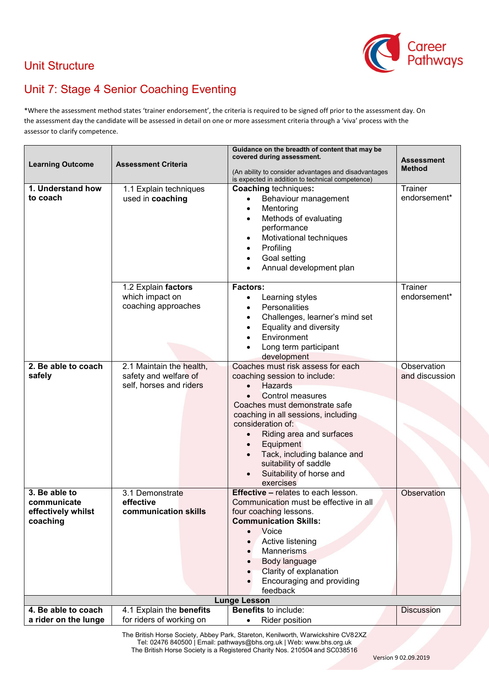

## Unit Structure

## Unit 7: Stage 4 Senior Coaching Eventing

\*Where the assessment method states 'trainer endorsement', the criteria is required to be signed off prior to the assessment day. On the assessment day the candidate will be assessed in detail on one or more assessment criteria through a 'viva' process with the assessor to clarify competence.

| <b>Learning Outcome</b><br>1. Understand how<br>to coach                                                                   | <b>Assessment Criteria</b><br>1.1 Explain techniques<br>used in coaching     | Guidance on the breadth of content that may be<br>covered during assessment.<br>(An ability to consider advantages and disadvantages<br>is expected in addition to technical competence)<br><b>Coaching techniques:</b><br>Behaviour management<br>Mentoring<br>$\bullet$<br>Methods of evaluating<br>$\bullet$<br>performance<br>Motivational techniques<br>$\bullet$<br>Profiling<br>٠<br>Goal setting<br>$\bullet$<br>Annual development plan | <b>Assessment</b><br><b>Method</b><br>Trainer<br>endorsement* |
|----------------------------------------------------------------------------------------------------------------------------|------------------------------------------------------------------------------|--------------------------------------------------------------------------------------------------------------------------------------------------------------------------------------------------------------------------------------------------------------------------------------------------------------------------------------------------------------------------------------------------------------------------------------------------|---------------------------------------------------------------|
|                                                                                                                            | 1.2 Explain factors<br>which impact on<br>coaching approaches                | <b>Factors:</b><br>Learning styles<br>٠<br>Personalities<br>$\bullet$<br>Challenges, learner's mind set<br>$\bullet$<br>Equality and diversity<br>$\bullet$<br>Environment<br>Long term participant<br>development                                                                                                                                                                                                                               | Trainer<br>endorsement*                                       |
| 2. Be able to coach<br>safely                                                                                              | 2.1 Maintain the health,<br>safety and welfare of<br>self, horses and riders | Coaches must risk assess for each<br>coaching session to include:<br>Hazards<br>Control measures<br>$\bullet$<br>Coaches must demonstrate safe<br>coaching in all sessions, including<br>consideration of:<br>Riding area and surfaces<br>Equipment<br>Tack, including balance and<br>$\bullet$<br>suitability of saddle<br>Suitability of horse and<br>$\bullet$<br>exercises                                                                   | Observation<br>and discussion                                 |
| 3. Be able to<br>communicate<br>effectively whilst<br>coaching                                                             | 3.1 Demonstrate<br>effective<br>communication skills                         | <b>Effective - relates to each lesson.</b><br>Communication must be effective in all<br>four coaching lessons.<br><b>Communication Skills:</b><br>Voice<br>Active listening<br><b>Mannerisms</b><br>Body language<br>Clarity of explanation<br>Encouraging and providing<br>feedback                                                                                                                                                             | Observation                                                   |
| <b>Lunge Lesson</b><br><b>Benefits to include:</b><br>4. Be able to coach<br>4.1 Explain the benefits<br><b>Discussion</b> |                                                                              |                                                                                                                                                                                                                                                                                                                                                                                                                                                  |                                                               |
| a rider on the lunge                                                                                                       | for riders of working on                                                     | <b>Rider position</b><br>$\bullet$                                                                                                                                                                                                                                                                                                                                                                                                               |                                                               |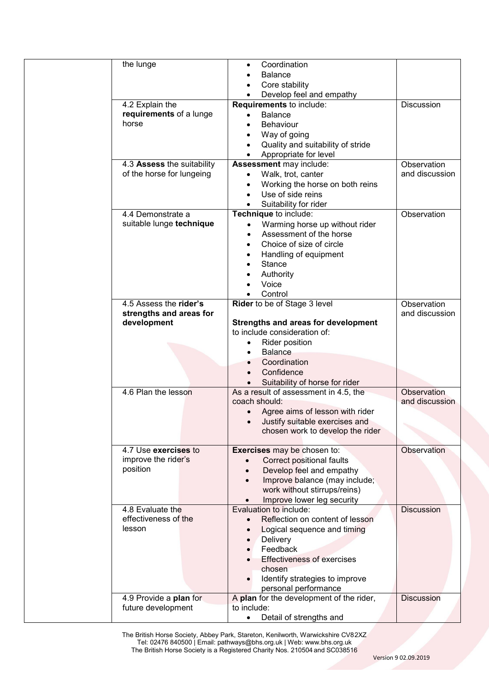| the lunge                              | Coordination<br>$\bullet$                      |                   |
|----------------------------------------|------------------------------------------------|-------------------|
|                                        | <b>Balance</b>                                 |                   |
|                                        | Core stability                                 |                   |
|                                        | Develop feel and empathy<br>$\bullet$          |                   |
| 4.2 Explain the                        | Requirements to include:                       | <b>Discussion</b> |
| requirements of a lunge                | <b>Balance</b><br>$\bullet$                    |                   |
| horse                                  | <b>Behaviour</b><br>٠                          |                   |
|                                        | Way of going<br>$\bullet$                      |                   |
|                                        | Quality and suitability of stride<br>$\bullet$ |                   |
|                                        | Appropriate for level<br>$\bullet$             |                   |
| 4.3 Assess the suitability             | Assessment may include:                        | Observation       |
| of the horse for lungeing              |                                                | and discussion    |
|                                        | Walk, trot, canter<br>$\bullet$                |                   |
|                                        | Working the horse on both reins<br>$\bullet$   |                   |
|                                        | Use of side reins<br>$\bullet$                 |                   |
|                                        | Suitability for rider<br>$\bullet$             |                   |
| 4.4 Demonstrate a                      | Technique to include:                          | Observation       |
| suitable lunge technique               | Warming horse up without rider<br>$\bullet$    |                   |
|                                        | Assessment of the horse                        |                   |
|                                        | Choice of size of circle                       |                   |
|                                        | Handling of equipment                          |                   |
|                                        | <b>Stance</b>                                  |                   |
|                                        | Authority                                      |                   |
|                                        | Voice                                          |                   |
|                                        | Control                                        |                   |
| 4.5 Assess the rider's                 | Rider to be of Stage 3 level                   | Observation       |
|                                        |                                                | and discussion    |
| strengths and areas for<br>development | Strengths and areas for development            |                   |
|                                        | to include consideration of:                   |                   |
|                                        |                                                |                   |
|                                        | Rider position<br>$\bullet$                    |                   |
|                                        | <b>Balance</b><br>$\bullet$                    |                   |
|                                        | Coordination                                   |                   |
|                                        | Confidence                                     |                   |
|                                        | Suitability of horse for rider                 |                   |
| 4.6 Plan the lesson                    | As a result of assessment in 4.5, the          | Observation       |
|                                        | coach should:                                  | and discussion    |
|                                        | Agree aims of lesson with rider                |                   |
|                                        | Justify suitable exercises and                 |                   |
|                                        | chosen work to develop the rider               |                   |
|                                        |                                                |                   |
| 4.7 Use exercises to                   | Exercises may be chosen to:                    | Observation       |
| improve the rider's                    | Correct positional faults<br>$\bullet$         |                   |
| position                               | Develop feel and empathy                       |                   |
|                                        | Improve balance (may include;<br>$\bullet$     |                   |
|                                        | work without stirrups/reins)                   |                   |
|                                        | Improve lower leg security<br>$\bullet$        |                   |
| 4.8 Evaluate the                       | Evaluation to include:                         | <b>Discussion</b> |
| effectiveness of the                   | Reflection on content of lesson                |                   |
| lesson                                 | Logical sequence and timing                    |                   |
|                                        |                                                |                   |
|                                        | Delivery<br>$\bullet$                          |                   |
|                                        | Feedback                                       |                   |
|                                        | <b>Effectiveness of exercises</b>              |                   |
|                                        | chosen                                         |                   |
|                                        | Identify strategies to improve<br>$\bullet$    |                   |
|                                        | personal performance                           |                   |
| 4.9 Provide a plan for                 | A plan for the development of the rider,       | <b>Discussion</b> |
| future development                     | to include:                                    |                   |
|                                        | Detail of strengths and<br>$\bullet$           |                   |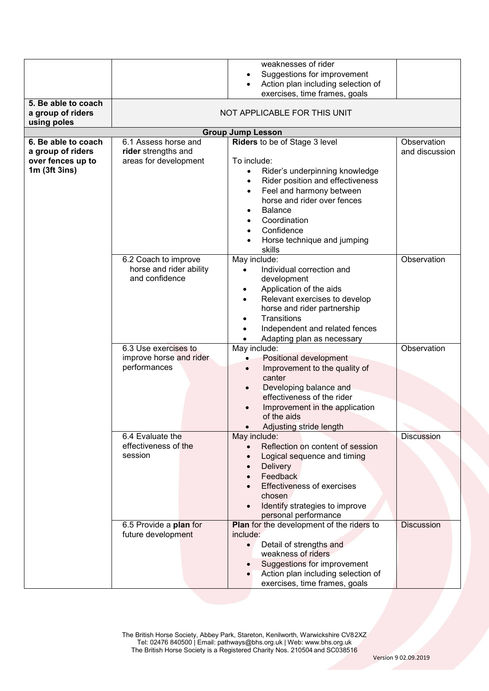| 5. Be able to coach<br>a group of riders<br>using poles                          |                                                                      | weaknesses of rider<br>Suggestions for improvement<br>Action plan including selection of<br>exercises, time frames, goals<br>NOT APPLICABLE FOR THIS UNIT                                                                                                                           |                               |
|----------------------------------------------------------------------------------|----------------------------------------------------------------------|-------------------------------------------------------------------------------------------------------------------------------------------------------------------------------------------------------------------------------------------------------------------------------------|-------------------------------|
|                                                                                  |                                                                      | <b>Group Jump Lesson</b>                                                                                                                                                                                                                                                            |                               |
| 6. Be able to coach<br>a group of riders<br>over fences up to<br>$1m$ (3ft 3ins) | 6.1 Assess horse and<br>rider strengths and<br>areas for development | Riders to be of Stage 3 level<br>To include:<br>Rider's underpinning knowledge<br>$\bullet$<br>Rider position and effectiveness<br>Feel and harmony between<br>horse and rider over fences<br><b>Balance</b><br>Coordination<br>Confidence<br>Horse technique and jumping<br>skills | Observation<br>and discussion |
|                                                                                  | 6.2 Coach to improve<br>horse and rider ability<br>and confidence    | May include:<br>Individual correction and<br>development<br>Application of the aids<br>$\bullet$<br>Relevant exercises to develop<br>horse and rider partnership<br><b>Transitions</b><br>Independent and related fences<br>Adapting plan as necessary                              | Observation                   |
|                                                                                  | 6.3 Use exercises to<br>improve horse and rider<br>performances      | May include:<br>Positional development<br>Improvement to the quality of<br>$\bullet$<br>canter<br>Developing balance and<br>$\bullet$<br>effectiveness of the rider<br>Improvement in the application<br>of the aids<br>Adjusting stride length                                     | Observation                   |
|                                                                                  | 6.4 Evaluate the<br>effectiveness of the<br>session                  | May include:<br>Reflection on content of session<br>Logical sequence and timing<br>Delivery<br>Feedback<br><b>Effectiveness of exercises</b><br>chosen<br>Identify strategies to improve<br>personal performance                                                                    | <b>Discussion</b>             |
|                                                                                  | 6.5 Provide a plan for<br>future development                         | Plan for the development of the riders to<br>include:<br>Detail of strengths and<br>$\bullet$<br>weakness of riders<br>Suggestions for improvement<br>Action plan including selection of<br>exercises, time frames, goals                                                           | <b>Discussion</b>             |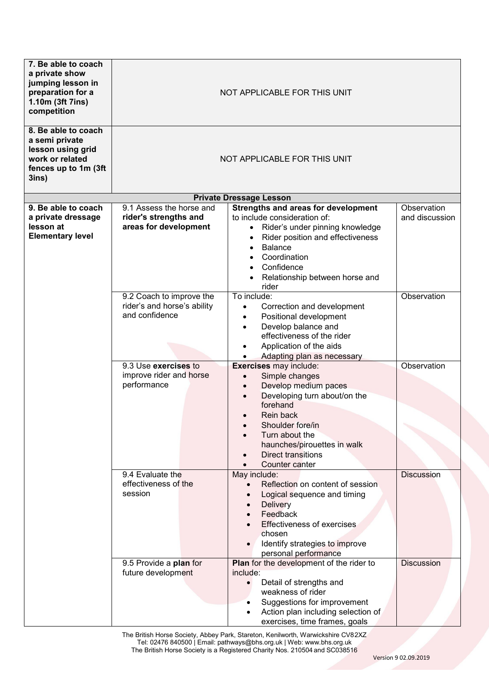| 7. Be able to coach<br>a private show<br>jumping lesson in<br>preparation for a<br>1.10m (3ft 7ins)<br>competition<br>8. Be able to coach | NOT APPLICABLE FOR THIS UNIT                                               |                                                                                                                                                                                                                                                                                      |                               |  |
|-------------------------------------------------------------------------------------------------------------------------------------------|----------------------------------------------------------------------------|--------------------------------------------------------------------------------------------------------------------------------------------------------------------------------------------------------------------------------------------------------------------------------------|-------------------------------|--|
| a semi private<br>lesson using grid<br>work or related<br>fences up to 1m (3ft<br>3ins)                                                   | NOT APPLICABLE FOR THIS UNIT                                               |                                                                                                                                                                                                                                                                                      |                               |  |
|                                                                                                                                           |                                                                            | <b>Private Dressage Lesson</b>                                                                                                                                                                                                                                                       |                               |  |
| 9. Be able to coach<br>a private dressage<br>lesson at<br><b>Elementary level</b>                                                         | 9.1 Assess the horse and<br>rider's strengths and<br>areas for development | Strengths and areas for development<br>to include consideration of:<br>Rider's under pinning knowledge<br>$\bullet$<br>Rider position and effectiveness<br><b>Balance</b><br>$\bullet$<br>Coordination<br>Confidence<br>$\bullet$<br>Relationship between horse and<br>rider         | Observation<br>and discussion |  |
|                                                                                                                                           | 9.2 Coach to improve the<br>rider's and horse's ability<br>and confidence  | To include:<br>Correction and development<br>$\bullet$<br>Positional development<br>$\bullet$<br>Develop balance and<br>$\bullet$<br>effectiveness of the rider<br>Application of the aids<br>$\bullet$<br>Adapting plan as necessary                                                | Observation                   |  |
|                                                                                                                                           | 9.3 Use exercises to<br>improve rider and horse<br>performance             | Exercises may include:<br>Simple changes<br>$\bullet$<br>Develop medium paces<br>$\bullet$<br>Developing turn about/on the<br>$\bullet$<br>forehand<br>Rein back<br>Shoulder fore/in<br>Turn about the<br>haunches/pirouettes in walk<br><b>Direct transitions</b><br>Counter canter | Observation                   |  |
|                                                                                                                                           | 9.4 Evaluate the<br>effectiveness of the<br>session                        | May include:<br>Reflection on content of session<br>Logical sequence and timing<br><b>Delivery</b><br>Feedback<br><b>Effectiveness of exercises</b><br>chosen<br>Identify strategies to improve<br>personal performance                                                              | <b>Discussion</b>             |  |
|                                                                                                                                           | 9.5 Provide a plan for<br>future development                               | Plan for the development of the rider to<br>include:<br>Detail of strengths and<br>$\bullet$<br>weakness of rider<br>Suggestions for improvement<br>Action plan including selection of<br>exercises, time frames, goals                                                              | Discussion                    |  |